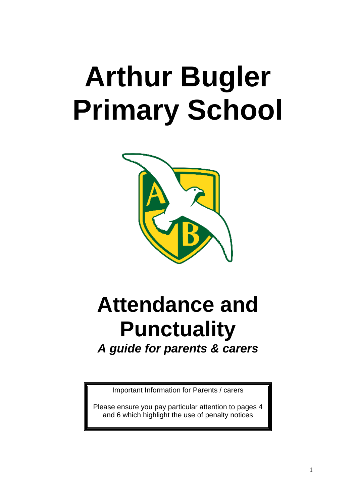# **Arthur Bugler Primary School**



## **Attendance and Punctuality** *A guide for parents & carers*

Important Information for Parents / carers

Please ensure you pay particular attention to pages 4 and 6 which highlight the use of penalty notices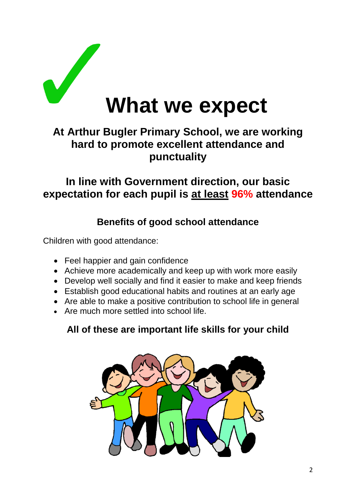

## **At Arthur Bugler Primary School, we are working hard to promote excellent attendance and punctuality**

### **In line with Government direction, our basic expectation for each pupil is at least 96% attendance**

#### **Benefits of good school attendance**

Children with good attendance:

- Feel happier and gain confidence
- Achieve more academically and keep up with work more easily
- Develop well socially and find it easier to make and keep friends
- Establish good educational habits and routines at an early age
- Are able to make a positive contribution to school life in general
- Are much more settled into school life.

### **All of these are important life skills for your child**

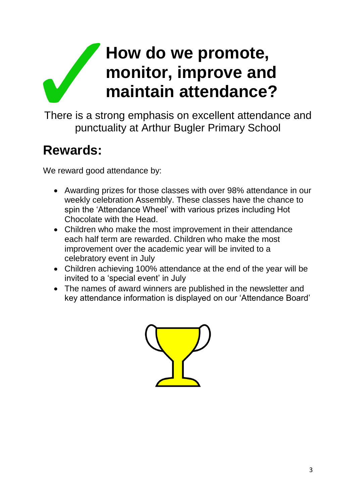## **How do we promote, monitor, improve and maintain attendance?**

There is a strong emphasis on excellent attendance and punctuality at Arthur Bugler Primary School

## **Rewards:**

We reward good attendance by:

- Awarding prizes for those classes with over 98% attendance in our weekly celebration Assembly. These classes have the chance to spin the 'Attendance Wheel' with various prizes including Hot Chocolate with the Head.
- Children who make the most improvement in their attendance each half term are rewarded. Children who make the most improvement over the academic year will be invited to a celebratory event in July
- Children achieving 100% attendance at the end of the year will be invited to a 'special event' in July
- The names of award winners are published in the newsletter and key attendance information is displayed on our 'Attendance Board'

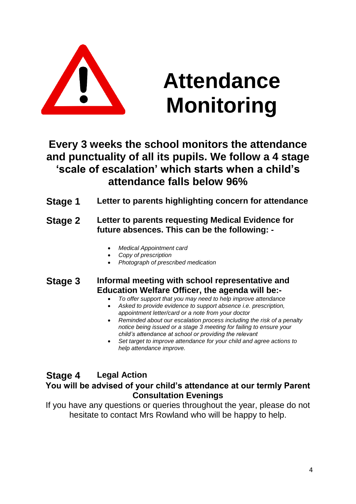

## **Attendance Monitoring**

### **Every 3 weeks the school monitors the attendance and punctuality of all its pupils. We follow a 4 stage 'scale of escalation' which starts when a child's attendance falls below 96%**

**Stage 1 Letter to parents highlighting concern for attendance**

#### **Stage 2 Letter to parents requesting Medical Evidence for future absences. This can be the following: -**

- *Medical Appointment card*
- *Copy of prescription*
- *Photograph of prescribed medication*

#### **Stage 3 Informal meeting with school representative and Education Welfare Officer, the agenda will be:-**

- *To offer support that you may need to help improve attendance*
- *Asked to provide evidence to support absence i.e. prescription, appointment letter/card or a note from your doctor*
- *Reminded about our escalation process including the risk of a penalty notice being issued or a stage 3 meeting for failing to ensure your child's attendance at school or providing the relevant*
- *Set target to improve attendance for your child and agree actions to help attendance improve.*

#### **Stage 4 Legal Action**

#### **You will be advised of your child's attendance at our termly Parent Consultation Evenings**

If you have any questions or queries throughout the year, please do not hesitate to contact Mrs Rowland who will be happy to help.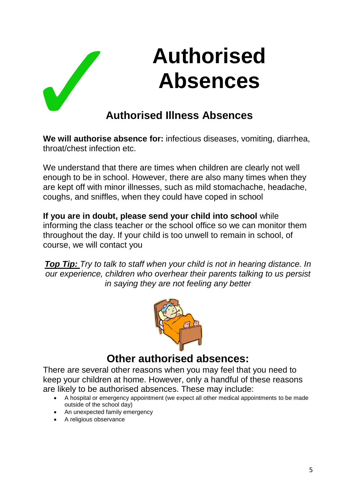

## **Authorised Illness Absences**

**We will authorise absence for:** infectious diseases, vomiting, diarrhea, throat/chest infection etc.

We understand that there are times when children are clearly not well enough to be in school. However, there are also many times when they are kept off with minor illnesses, such as mild stomachache, headache, coughs, and sniffles, when they could have coped in school

**If you are in doubt, please send your child into school** while informing the class teacher or the school office so we can monitor them throughout the day. If your child is too unwell to remain in school, of course, we will contact you

*Top Tip: Try to talk to staff when your child is not in hearing distance. In our experience, children who overhear their parents talking to us persist in saying they are not feeling any better*



### **Other authorised absences:**

There are several other reasons when you may feel that you need to keep your children at home. However, only a handful of these reasons are likely to be authorised absences. These may include:

- A hospital or emergency appointment (we expect all other medical appointments to be made outside of the school day)
- An unexpected family emergency
- A religious observance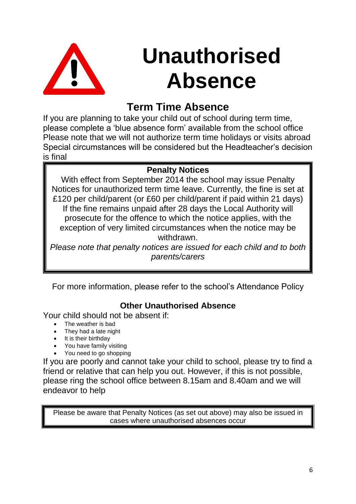

## **Unauthorised Absence**

## **Term Time Absence**

If you are planning to take your child out of school during term time, please complete a 'blue absence form' available from the school office Please note that we will not authorize term time holidays or visits abroad Special circumstances will be considered but the Headteacher's decision is final

#### **Penalty Notices**

With effect from September 2014 the school may issue Penalty Notices for unauthorized term time leave. Currently, the fine is set at £120 per child/parent (or £60 per child/parent if paid within 21 days) If the fine remains unpaid after 28 days the Local Authority will prosecute for the offence to which the notice applies, with the exception of very limited circumstances when the notice may be withdrawn.

*Please note that penalty notices are issued for each child and to both parents/carers*

For more information, please refer to the school's Attendance Policy

#### **Other Unauthorised Absence**

Your child should not be absent if:

- The weather is bad
- They had a late night
- It is their birthday
- You have family visiting
- You need to go shopping

If you are poorly and cannot take your child to school, please try to find a friend or relative that can help you out. However, if this is not possible, please ring the school office between 8.15am and 8.40am and we will endeavor to help

Please be aware that Penalty Notices (as set out above) may also be issued in cases where unauthorised absences occur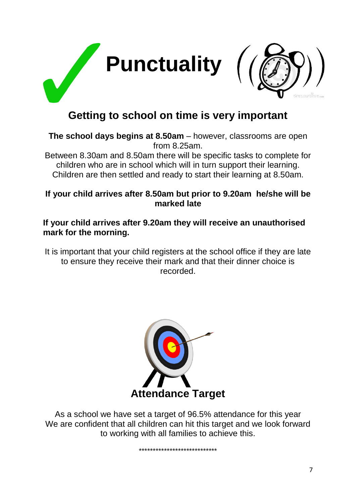

## **Getting to school on time is very important**

**The school days begins at 8.50am** – however, classrooms are open from 8.25am.

Between 8.30am and 8.50am there will be specific tasks to complete for children who are in school which will in turn support their learning. Children are then settled and ready to start their learning at 8.50am.

#### **If your child arrives after 8.50am but prior to 9.20am he/she will be marked late**

#### **If your child arrives after 9.20am they will receive an unauthorised mark for the morning.**

It is important that your child registers at the school office if they are late to ensure they receive their mark and that their dinner choice is recorded.



As a school we have set a target of 96.5% attendance for this year We are confident that all children can hit this target and we look forward to working with all families to achieve this.

\*\*\*\*\*\*\*\*\*\*\*\*\*\*\*\*\*\*\*\*\*\*\*\*\*\*\*\*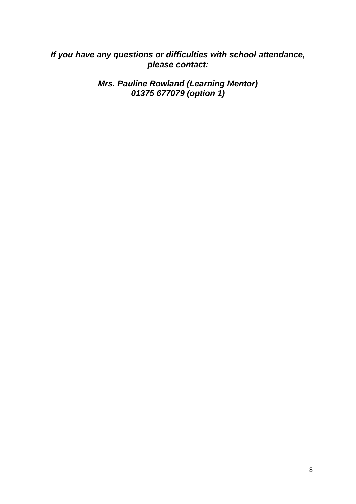#### *If you have any questions or difficulties with school attendance, please contact:*

*Mrs. Pauline Rowland (Learning Mentor) 01375 677079 (option 1)*